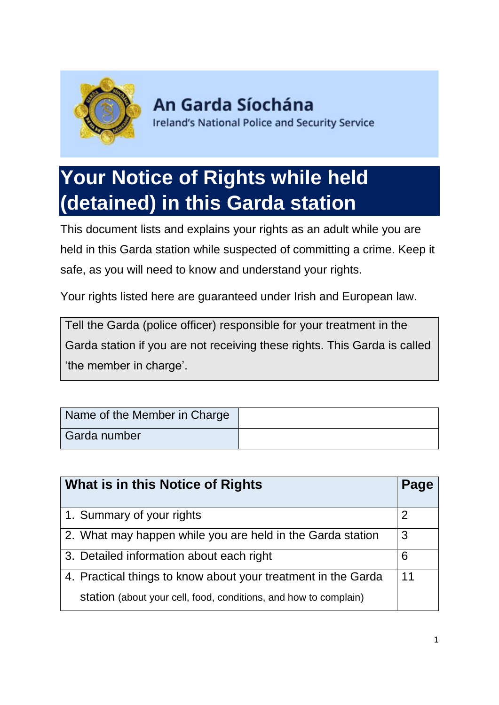

An Garda Síochána **Ireland's National Police and Security Service** 

# **Your Notice of Rights while held (detained) in this Garda station**

This document lists and explains your rights as an adult while you are held in this Garda station while suspected of committing a crime. Keep it safe, as you will need to know and understand your rights.

Your rights listed here are guaranteed under Irish and European law.

Tell the Garda (police officer) responsible for your treatment in the Garda station if you are not receiving these rights. This Garda is called 'the member in charge'.

| Name of the Member in Charge |  |
|------------------------------|--|
| Garda number                 |  |

| What is in this Notice of Rights                                 | Page |
|------------------------------------------------------------------|------|
| 1. Summary of your rights                                        | 2    |
| 2. What may happen while you are held in the Garda station       | 3    |
| 3. Detailed information about each right                         | 6    |
| 4. Practical things to know about your treatment in the Garda    | 11   |
| station (about your cell, food, conditions, and how to complain) |      |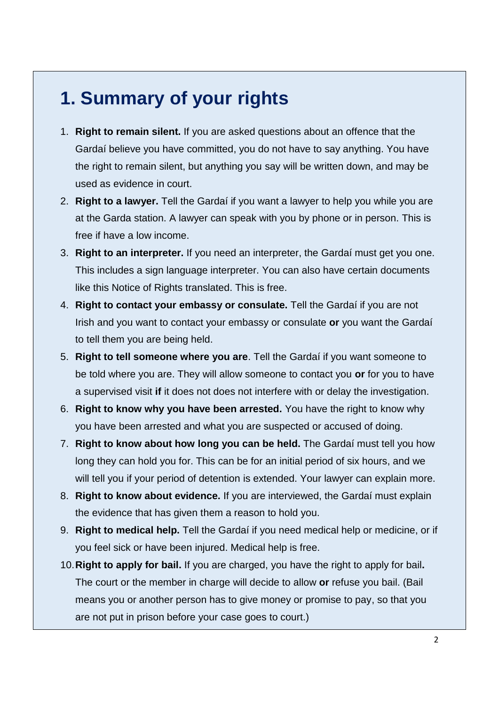# **1. Summary of your rights**

- 1. **Right to remain silent.** If you are asked questions about an offence that the Gardaí believe you have committed, you do not have to say anything. You have the right to remain silent, but anything you say will be written down, and may be used as evidence in court.
- 2. **Right to a lawyer.** Tell the Gardaí if you want a lawyer to help you while you are at the Garda station. A lawyer can speak with you by phone or in person. This is free if have a low income.
- 3. **Right to an interpreter.** If you need an interpreter, the Gardaí must get you one. This includes a sign language interpreter. You can also have certain documents like this Notice of Rights translated. This is free.
- 4. **Right to contact your embassy or consulate.** Tell the Gardaí if you are not Irish and you want to contact your embassy or consulate **or** you want the Gardaí to tell them you are being held.
- 5. **Right to tell someone where you are**. Tell the Gardaí if you want someone to be told where you are. They will allow someone to contact you **or** for you to have a supervised visit **if** it does not does not interfere with or delay the investigation.
- 6. **Right to know why you have been arrested.** You have the right to know why you have been arrested and what you are suspected or accused of doing.
- 7. **Right to know about how long you can be held.** The Gardaí must tell you how long they can hold you for. This can be for an initial period of six hours, and we will tell you if your period of detention is extended. Your lawyer can explain more.
- 8. **Right to know about evidence.** If you are interviewed, the Gardaí must explain the evidence that has given them a reason to hold you.
- 9. **Right to medical help.** Tell the Gardaí if you need medical help or medicine, or if you feel sick or have been injured. Medical help is free.
- 10.**Right to apply for bail.** If you are charged, you have the right to apply for bail**.** The court or the member in charge will decide to allow **or** refuse you bail. (Bail means you or another person has to give money or promise to pay, so that you are not put in prison before your case goes to court.)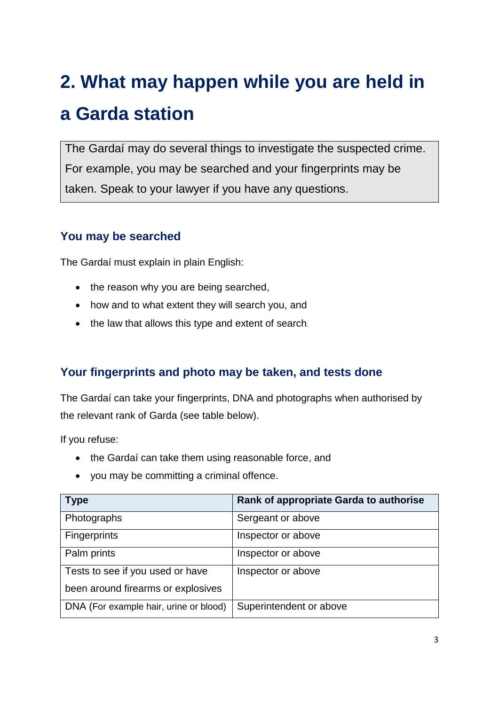# **2. What may happen while you are held in a Garda station**

The Gardaí may do several things to investigate the suspected crime. For example, you may be searched and your fingerprints may be taken. Speak to your lawyer if you have any questions.

### **You may be searched**

The Gardaí must explain in plain English:

- the reason why you are being searched,
- how and to what extent they will search you, and
- the law that allows this type and extent of search.

### **Your fingerprints and photo may be taken, and tests done**

The Gardaí can take your fingerprints, DNA and photographs when authorised by the relevant rank of Garda (see table below).

If you refuse:

- the Gardaí can take them using reasonable force, and
- you may be committing a criminal offence.

| <b>Type</b>                            | Rank of appropriate Garda to authorise |
|----------------------------------------|----------------------------------------|
| Photographs                            | Sergeant or above                      |
| <b>Fingerprints</b>                    | Inspector or above                     |
| Palm prints                            | Inspector or above                     |
| Tests to see if you used or have       | Inspector or above                     |
| been around firearms or explosives     |                                        |
| DNA (For example hair, urine or blood) | Superintendent or above                |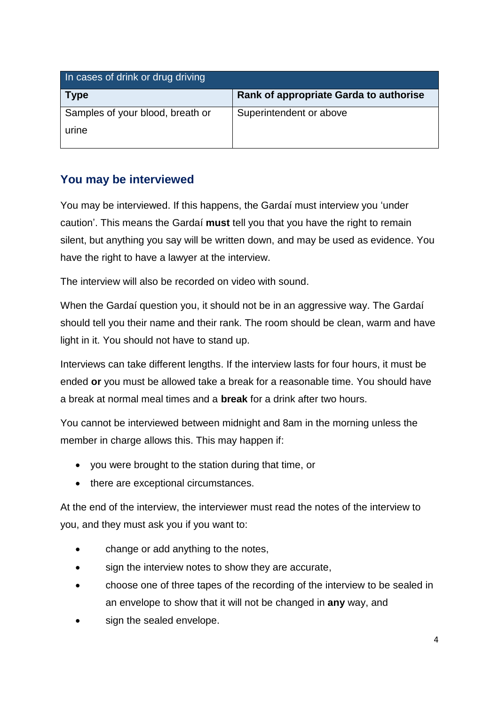| In cases of drink or drug driving |                                        |
|-----------------------------------|----------------------------------------|
| $\mid$ Type                       | Rank of appropriate Garda to authorise |
| Samples of your blood, breath or  | Superintendent or above                |
| urine                             |                                        |
|                                   |                                        |

## **You may be interviewed**

You may be interviewed. If this happens, the Gardaí must interview you 'under caution'. This means the Gardaí **must** tell you that you have the right to remain silent, but anything you say will be written down, and may be used as evidence. You have the right to have a lawyer at the interview.

The interview will also be recorded on video with sound.

When the Gardaí question you, it should not be in an aggressive way. The Gardaí should tell you their name and their rank. The room should be clean, warm and have light in it. You should not have to stand up.

Interviews can take different lengths. If the interview lasts for four hours, it must be ended **or** you must be allowed take a break for a reasonable time. You should have a break at normal meal times and a **break** for a drink after two hours.

You cannot be interviewed between midnight and 8am in the morning unless the member in charge allows this. This may happen if:

- you were brought to the station during that time, or
- there are exceptional circumstances.

At the end of the interview, the interviewer must read the notes of the interview to you, and they must ask you if you want to:

- change or add anything to the notes,
- sign the interview notes to show they are accurate,
- choose one of three tapes of the recording of the interview to be sealed in an envelope to show that it will not be changed in **any** way, and
- sign the sealed envelope.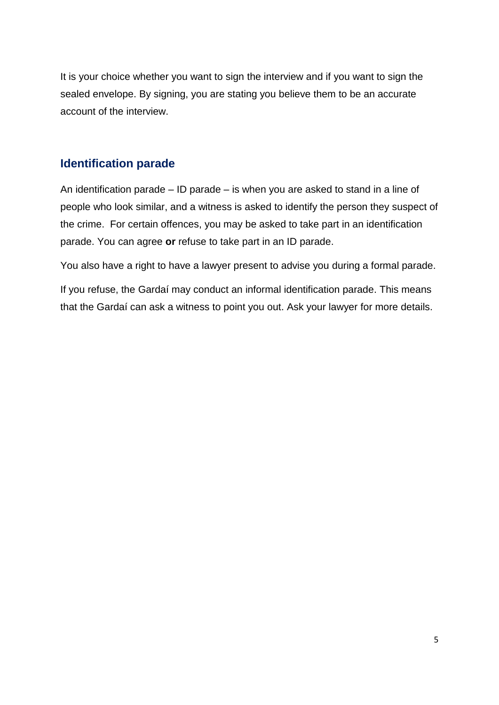It is your choice whether you want to sign the interview and if you want to sign the sealed envelope. By signing, you are stating you believe them to be an accurate account of the interview.

### **Identification parade**

An identification parade – ID parade – is when you are asked to stand in a line of people who look similar, and a witness is asked to identify the person they suspect of the crime. For certain offences, you may be asked to take part in an identification parade. You can agree **or** refuse to take part in an ID parade.

You also have a right to have a lawyer present to advise you during a formal parade.

If you refuse, the Gardaí may conduct an informal identification parade. This means that the Gardaí can ask a witness to point you out. Ask your lawyer for more details.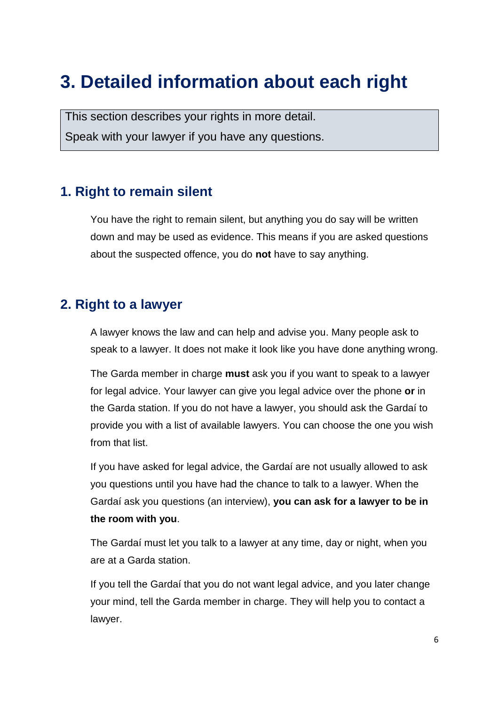# **3. Detailed information about each right**

This section describes your rights in more detail.

Speak with your lawyer if you have any questions.

# **1. Right to remain silent**

You have the right to remain silent, but anything you do say will be written down and may be used as evidence. This means if you are asked questions about the suspected offence, you do **not** have to say anything.

# **2. Right to a lawyer**

A lawyer knows the law and can help and advise you. Many people ask to speak to a lawyer. It does not make it look like you have done anything wrong.

The Garda member in charge **must** ask you if you want to speak to a lawyer for legal advice. Your lawyer can give you legal advice over the phone **or** in the Garda station. If you do not have a lawyer, you should ask the Gardaí to provide you with a list of available lawyers. You can choose the one you wish from that list.

If you have asked for legal advice, the Gardaí are not usually allowed to ask you questions until you have had the chance to talk to a lawyer. When the Gardaí ask you questions (an interview), **you can ask for a lawyer to be in the room with you**.

The Gardaí must let you talk to a lawyer at any time, day or night, when you are at a Garda station.

If you tell the Gardaí that you do not want legal advice, and you later change your mind, tell the Garda member in charge. They will help you to contact a lawyer.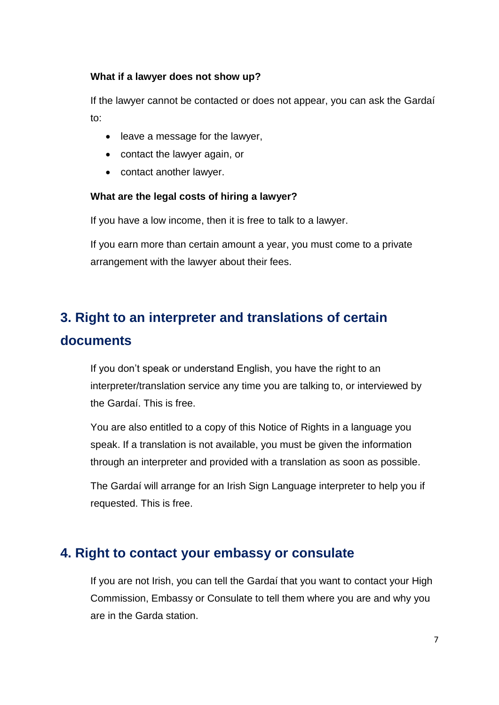#### **What if a lawyer does not show up?**

If the lawyer cannot be contacted or does not appear, you can ask the Gardaí to:

- leave a message for the lawyer,
- contact the lawyer again, or
- contact another lawyer.

#### **What are the legal costs of hiring a lawyer?**

If you have a low income, then it is free to talk to a lawyer.

If you earn more than certain amount a year, you must come to a private arrangement with the lawyer about their fees.

# **3. Right to an interpreter and translations of certain documents**

If you don't speak or understand English, you have the right to an interpreter/translation service any time you are talking to, or interviewed by the Gardaí. This is free.

You are also entitled to a copy of this Notice of Rights in a language you speak. If a translation is not available, you must be given the information through an interpreter and provided with a translation as soon as possible.

The Gardaí will arrange for an Irish Sign Language interpreter to help you if requested. This is free.

# **4. Right to contact your embassy or consulate**

If you are not Irish, you can tell the Gardaí that you want to contact your High Commission, Embassy or Consulate to tell them where you are and why you are in the Garda station.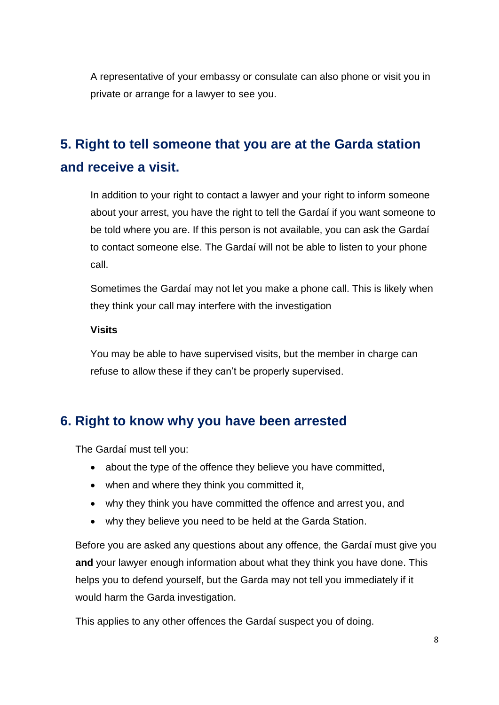A representative of your embassy or consulate can also phone or visit you in private or arrange for a lawyer to see you.

# **5. Right to tell someone that you are at the Garda station and receive a visit.**

In addition to your right to contact a lawyer and your right to inform someone about your arrest, you have the right to tell the Gardaí if you want someone to be told where you are. If this person is not available, you can ask the Gardaí to contact someone else. The Gardaí will not be able to listen to your phone call.

Sometimes the Gardaí may not let you make a phone call. This is likely when they think your call may interfere with the investigation

#### **Visits**

You may be able to have supervised visits, but the member in charge can refuse to allow these if they can't be properly supervised.

# **6. Right to know why you have been arrested**

The Gardaí must tell you:

- about the type of the offence they believe you have committed,
- when and where they think you committed it,
- why they think you have committed the offence and arrest you, and
- why they believe you need to be held at the Garda Station.

Before you are asked any questions about any offence, the Gardaí must give you **and** your lawyer enough information about what they think you have done. This helps you to defend yourself, but the Garda may not tell you immediately if it would harm the Garda investigation.

This applies to any other offences the Gardaí suspect you of doing.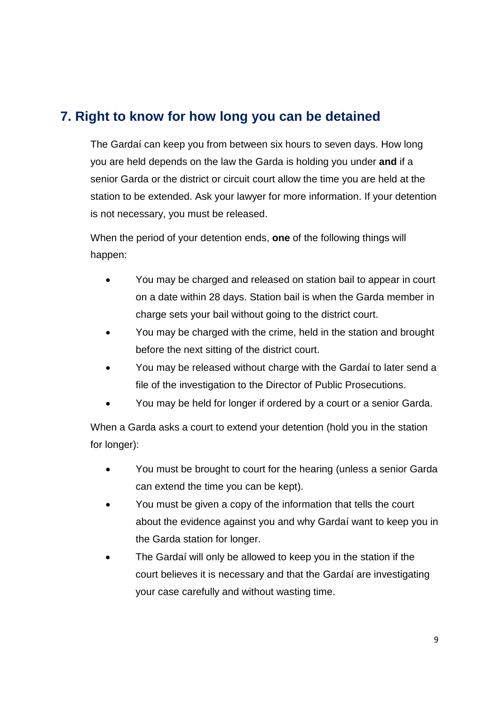# **7. Right to know for how long you can be detained**

The Gardaí can keep you from between six hours to seven days. How long you are held depends on the law the Garda is holding you under **and** if a senior Garda or the district or circuit court allow the time you are held at the station to be extended. Ask your lawyer for more information. If your detention is not necessary, you must be released.

When the period of your detention ends, **one** of the following things will happen:

- You may be charged and released on station bail to appear in court on a date within 28 days. Station bail is when the Garda member in charge sets your bail without going to the district court.
- You may be charged with the crime, held in the station and brought before the next sitting of the district court.
- You may be released without charge with the Gardaí to later send a file of the investigation to the Director of Public Prosecutions.
- You may be held for longer if ordered by a court or a senior Garda.

When a Garda asks a court to extend your detention (hold you in the station for longer):

- You must be brought to court for the hearing (unless a senior Garda can extend the time you can be kept).
- You must be given a copy of the information that tells the court about the evidence against you and why Gardaí want to keep you in the Garda station for longer.
- The Gardaí will only be allowed to keep you in the station if the court believes it is necessary and that the Gardaí are investigating your case carefully and without wasting time.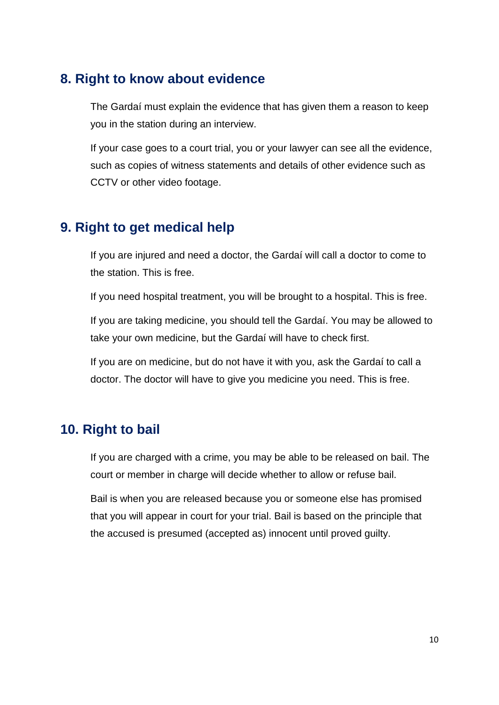## **8. Right to know about evidence**

The Gardaí must explain the evidence that has given them a reason to keep you in the station during an interview.

If your case goes to a court trial, you or your lawyer can see all the evidence, such as copies of witness statements and details of other evidence such as CCTV or other video footage.

## **9. Right to get medical help**

If you are injured and need a doctor, the Gardaí will call a doctor to come to the station. This is free.

If you need hospital treatment, you will be brought to a hospital. This is free.

If you are taking medicine, you should tell the Gardaí. You may be allowed to take your own medicine, but the Gardaí will have to check first.

If you are on medicine, but do not have it with you, ask the Gardaí to call a doctor. The doctor will have to give you medicine you need. This is free.

## **10. Right to bail**

If you are charged with a crime, you may be able to be released on bail. The court or member in charge will decide whether to allow or refuse bail.

Bail is when you are released because you or someone else has promised that you will appear in court for your trial. Bail is based on the principle that the accused is presumed (accepted as) innocent until proved guilty.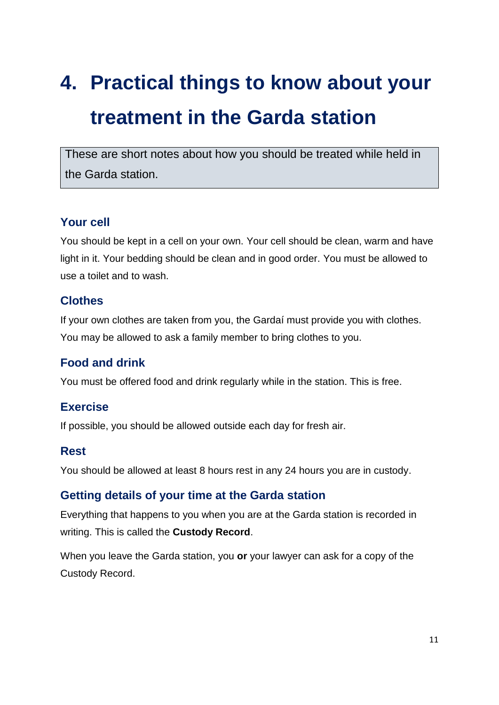# **4. Practical things to know about your treatment in the Garda station**

These are short notes about how you should be treated while held in the Garda station.

### **Your cell**

You should be kept in a cell on your own. Your cell should be clean, warm and have light in it. Your bedding should be clean and in good order. You must be allowed to use a toilet and to wash.

#### **Clothes**

If your own clothes are taken from you, the Gardaí must provide you with clothes. You may be allowed to ask a family member to bring clothes to you.

### **Food and drink**

You must be offered food and drink regularly while in the station. This is free.

### **Exercise**

If possible, you should be allowed outside each day for fresh air.

#### **Rest**

You should be allowed at least 8 hours rest in any 24 hours you are in custody.

#### **Getting details of your time at the Garda station**

Everything that happens to you when you are at the Garda station is recorded in writing. This is called the **Custody Record**.

When you leave the Garda station, you **or** your lawyer can ask for a copy of the Custody Record.